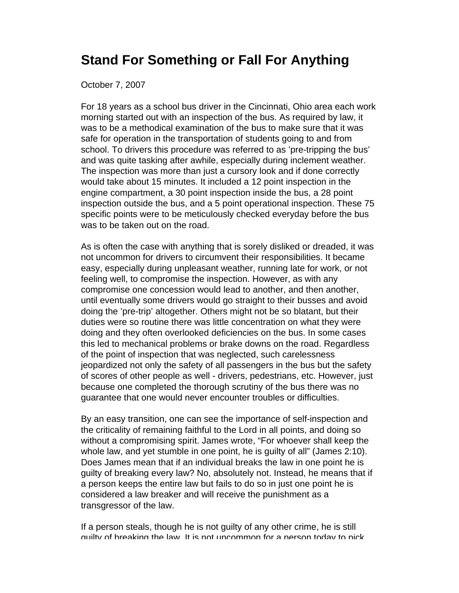## **Stand For Something or Fall For Anything**

## October 7, 2007

For 18 years as a school bus driver in the Cincinnati, Ohio area each work morning started out with an inspection of the bus. As required by law, it was to be a methodical examination of the bus to make sure that it was safe for operation in the transportation of students going to and from school. To drivers this procedure was referred to as 'pre-tripping the bus' and was quite tasking after awhile, especially during inclement weather. The inspection was more than just a cursory look and if done correctly would take about 15 minutes. It included a 12 point inspection in the engine compartment, a 30 point inspection inside the bus, a 28 point inspection outside the bus, and a 5 point operational inspection. These 75 specific points were to be meticulously checked everyday before the bus was to be taken out on the road.

As is often the case with anything that is sorely disliked or dreaded, it was not uncommon for drivers to circumvent their responsibilities. It became easy, especially during unpleasant weather, running late for work, or not feeling well, to compromise the inspection. However, as with any compromise one concession would lead to another, and then another, until eventually some drivers would go straight to their busses and avoid doing the 'pre-trip' altogether. Others might not be so blatant, but their duties were so routine there was little concentration on what they were doing and they often overlooked deficiencies on the bus. In some cases this led to mechanical problems or brake downs on the road. Regardless of the point of inspection that was neglected, such carelessness jeopardized not only the safety of all passengers in the bus but the safety of scores of other people as well - drivers, pedestrians, etc. However, just because one completed the thorough scrutiny of the bus there was no guarantee that one would never encounter troubles or difficulties.

By an easy transition, one can see the importance of self-inspection and the criticality of remaining faithful to the Lord in all points, and doing so without a compromising spirit. James wrote, "For whoever shall keep the whole law, and yet stumble in one point, he is guilty of all" (James 2:10). Does James mean that if an individual breaks the law in one point he is guilty of breaking every law? No, absolutely not. Instead, he means that if a person keeps the entire law but fails to do so in just one point he is considered a law breaker and will receive the punishment as a transgressor of the law.

If a person steals, though he is not guilty of any other crime, he is still guilty of breaking the law. It is not uncommon for a person today to pick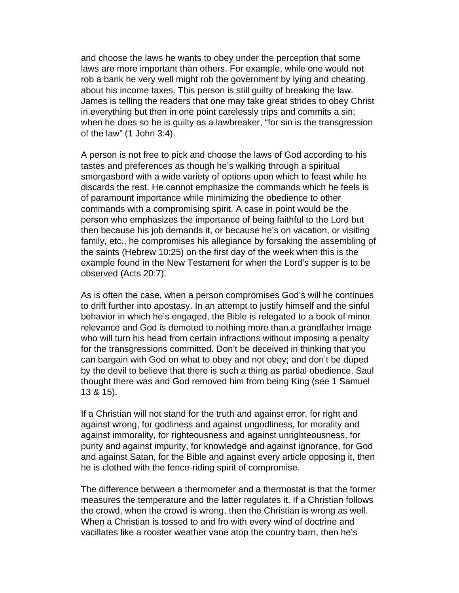and choose the laws he wants to obey under the perception that some laws are more important than others. For example, while one would not rob a bank he very well might rob the government by lying and cheating about his income taxes. This person is still guilty of breaking the law. James is telling the readers that one may take great strides to obey Christ in everything but then in one point carelessly trips and commits a sin; when he does so he is guilty as a lawbreaker, "for sin is the transgression of the law" (1 John 3:4).

A person is not free to pick and choose the laws of God according to his tastes and preferences as though he's walking through a spiritual smorgasbord with a wide variety of options upon which to feast while he discards the rest. He cannot emphasize the commands which he feels is of paramount importance while minimizing the obedience to other commands with a compromising spirit. A case in point would be the person who emphasizes the importance of being faithful to the Lord but then because his job demands it, or because he's on vacation, or visiting family, etc., he compromises his allegiance by forsaking the assembling of the saints (Hebrew 10:25) on the first day of the week when this is the example found in the New Testament for when the Lord's supper is to be observed (Acts 20:7).

As is often the case, when a person compromises God's will he continues to drift further into apostasy. In an attempt to justify himself and the sinful behavior in which he's engaged, the Bible is relegated to a book of minor relevance and God is demoted to nothing more than a grandfather image who will turn his head from certain infractions without imposing a penalty for the transgressions committed. Don't be deceived in thinking that you can bargain with God on what to obey and not obey; and don't be duped by the devil to believe that there is such a thing as partial obedience. Saul thought there was and God removed him from being King (see 1 Samuel 13 & 15).

If a Christian will not stand for the truth and against error, for right and against wrong, for godliness and against ungodliness, for morality and against immorality, for righteousness and against unrighteousness, for purity and against impurity, for knowledge and against ignorance, for God and against Satan, for the Bible and against every article opposing it, then he is clothed with the fence-riding spirit of compromise.

The difference between a thermometer and a thermostat is that the former measures the temperature and the latter regulates it. If a Christian follows the crowd, when the crowd is wrong, then the Christian is wrong as well. When a Christian is tossed to and fro with every wind of doctrine and vacillates like a rooster weather vane atop the country barn, then he's